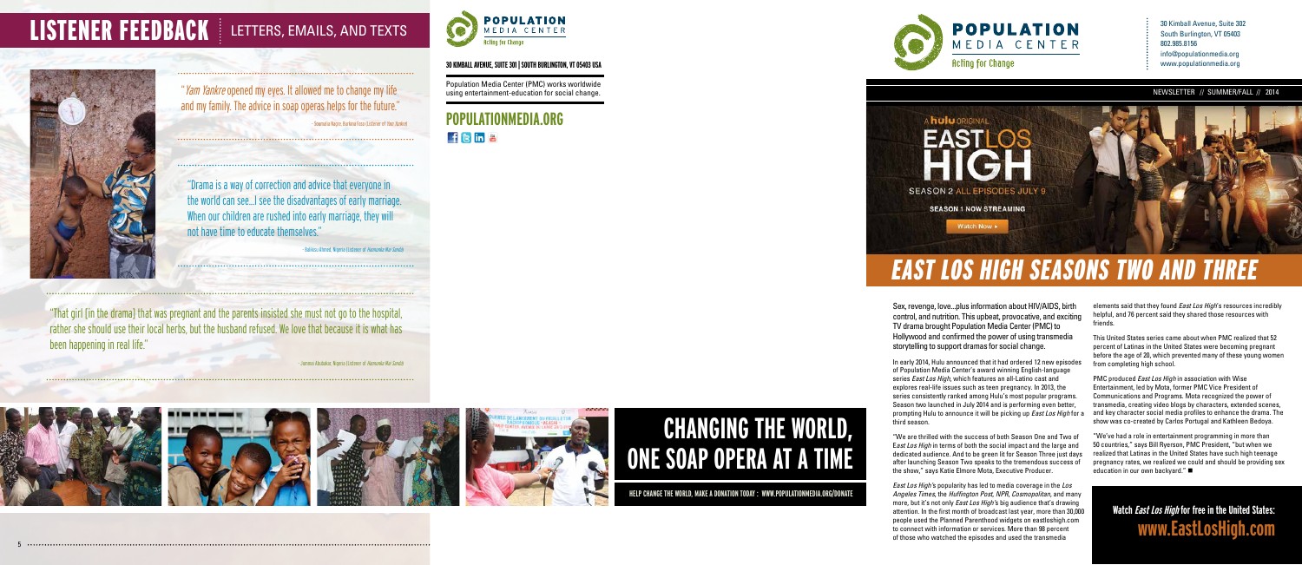

# **CHANGING THE WORLD, ONE SOAP OPERA AT A TIME**

**HELP CHANGE THE WORLD, MAKE A DONATION TODAY : WWW.POPULATIONMEDIA.ORG/DONATE**

**POPULATIONMEDIA.ORG** fsina

30 Kimball Avenue, Suite 302 South Burlington, VT 05403 802.985.8156 info@populationmedia.org www.populationmedia.org

# LISTENER FEEDBACK | LETTERS, EMAILS, AND TEXTS



"Yam Yankre opened my eyes. It allowed me to change my life and my family. The advice in soap operas helps for the future."

- Soumalia Nagre, Burkina Faso (Listener of *Yam Yankre*)

"That girl [in the drama] that was pregnant and the parents insisted she must not go to the hospital, rather she should use their local herbs, but the husband refused. We love that because it is what has been happening in real life."

Jummai Abubakar, Nigeria (Listener of *Hannunka Mai Sanda*)





Population Media Center (PMC) works worldwide using entertainment-education for social change.

### **30 KIMBALL AVENUE, SUITE 301 | SOUTH BURLINGTON, VT 05403 USA**

## EAST LOS HIGH SEASONS TWO AND THREE

"Drama is a way of correction and advice that everyone in the world can see...I see the disadvantages of early marriage. When our children are rushed into early marriage, they will not have time to educate themselves."

Balikisu Ahmed, Nigeria (Listener of Hannunka Mai Sanda)

Sex, revenge, love...plus information about HIV/AIDS, birth control, and nutrition. This upbeat, provocative, and exciting TV drama brought Population Media Center (PMC) to Hollywood and confirmed the power of using transmedia storytelling to support dramas for social change.

elements said that they found *East Los High's* resources incredibly helpful, and 76 percent said they shared those resources with friends.

PMC produced East Los High in association with Wise Entertainment, led by Mota, former PMC Vice President of Communications and Programs. Mota recognized the power of transmedia, creating video blogs by characters, extended scenes, and key character social media profiles to enhance the drama. The show was co-created by Carlos Portugal and Kathleen Bedoya.

"We've had a role in entertainment programming in more than 50 countries," says Bill Ryerson, PMC President, "but when we realized that Latinas in the United States have such high teenage pregnancy rates, we realized we could and should be providing sex education in our own backyard." $\blacksquare$ 

In early 2014, Hulu announced that it had ordered 12 new episodes of Population Media Center's award winning English-language series East Los High, which features an all-Latino cast and explores real-life issues such as teen pregnancy. In 2013, the series consistently ranked among Hulu's most popular programs. Season two launched in July 2014 and is performing even better, prompting Hulu to announce it will be picking up *East Los High* for a third season.

"We are thrilled with the success of both Season One and Two of East Los High in terms of both the social impact and the large and dedicated audience. And to be green lit for Season Three just days after launching Season Two speaks to the tremendous success of the show," says Katie Elmore Mota, Executive Producer.

East Los High's popularity has led to media coverage in the Los Angeles Times, the Huffington Post, NPR, Cosmopolitan, and many more, but it's not only *East Los High's* big audience that's drawing attention. In the first month of broadcast last year, more than 30,000 people used the Planned Parenthood widgets on eastloshigh.com to connect with information or services. More than 98 percent of those who watched the episodes and used the transmedia

This United States series came about when PMC realized that 52 percent of Latinas in the United States were becoming pregnant before the age of 20, which prevented many of these young women from completing high school.

**Watch East Los High for free in the United States: www.EastLosHigh.com**

5